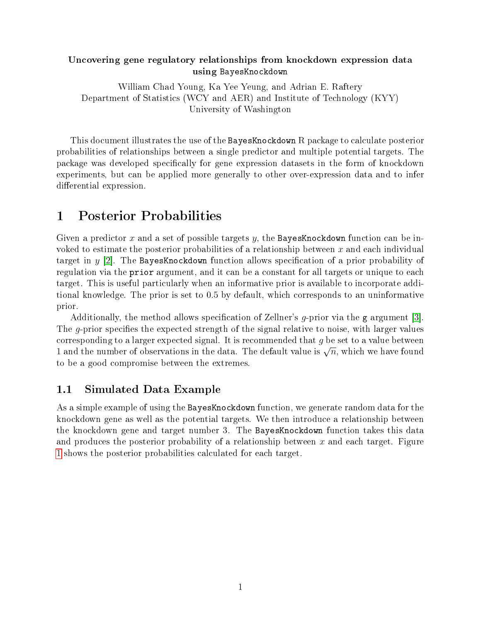### Uncovering gene regulatory relationships from knockdown expression data using BayesKnockdown

William Chad Young, Ka Yee Yeung, and Adrian E. Raftery Department of Statistics (WCY and AER) and Institute of Technology (KYY) University of Washington

This document illustrates the use of the BayesKnockdown R package to calculate posterior probabilities of relationships between a single predictor and multiple potential targets. The package was developed specifically for gene expression datasets in the form of knockdown experiments, but can be applied more generally to other over-expression data and to infer differential expression.

# 1 Posterior Probabilities

Given a predictor x and a set of possible targets y, the BayesKnockdown function can be invoked to estimate the posterior probabilities of a relationship between x and each individual target in  $y$  [\[2\]](#page-5-0). The BayesKnockdown function allows specification of a prior probability of regulation via the prior argument, and it can be a constant for all targets or unique to each target. This is useful particularly when an informative prior is available to incorporate additional knowledge. The prior is set to 0.5 by default, which corresponds to an uninformative prior.

Additionally, the method allows specification of Zellner's  $q$ -prior via the g argument [\[3\]](#page-5-1). The  $q$ -prior specifies the expected strength of the signal relative to noise, with larger values corresponding to a larger expected signal. It is recommended that  $g$  be set to a value between corresponding to a larger expected signal. It is recommended that y be set to a value between<br>1 and the number of observations in the data. The default value is  $\sqrt{n}$ , which we have found to be a good compromise between the extremes.

### 1.1 Simulated Data Example

As a simple example of using the BayesKnockdown function, we generate random data for the knockdown gene as well as the potential targets. We then introduce a relationship between the knockdown gene and target number 3. The BayesKnockdown function takes this data and produces the posterior probability of a relationship between  $x$  and each target. Figure [1](#page-1-0) shows the posterior probabilities calculated for each target.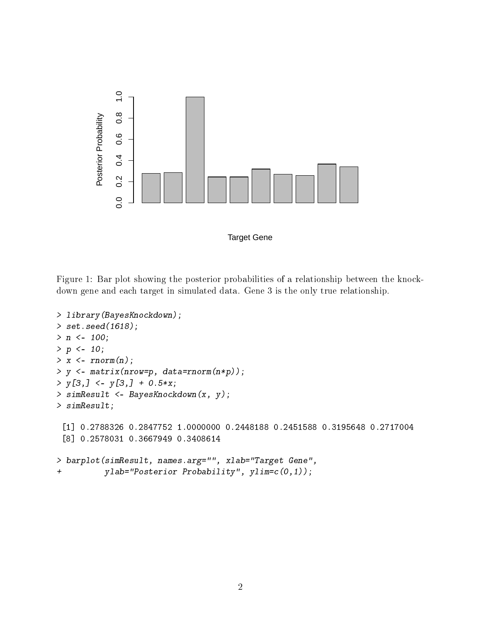

Target Gene

<span id="page-1-0"></span>Figure 1: Bar plot showing the posterior probabilities of a relationship between the knockdown gene and each target in simulated data. Gene 3 is the only true relationship.

```
> library(BayesKnockdown);
> set.seed(1618);
> n < -100;> p \le -10;
> x < -rnorm(n);> y <- matrix(nrow=p, data=rnorm(n*p));
> y[3,] < -y[3,] + 0.5*x;> simResult <- BayesKnockdown(x, y);
> simResult;
 [1] 0.2788326 0.2847752 1.0000000 0.2448188 0.2451588 0.3195648 0.2717004
 [8] 0.2578031 0.3667949 0.3408614
> barplot(simResult, names.arg="", xlab="Target Gene",
+ ylab="Posterior Probability", ylim=c(0,1));
```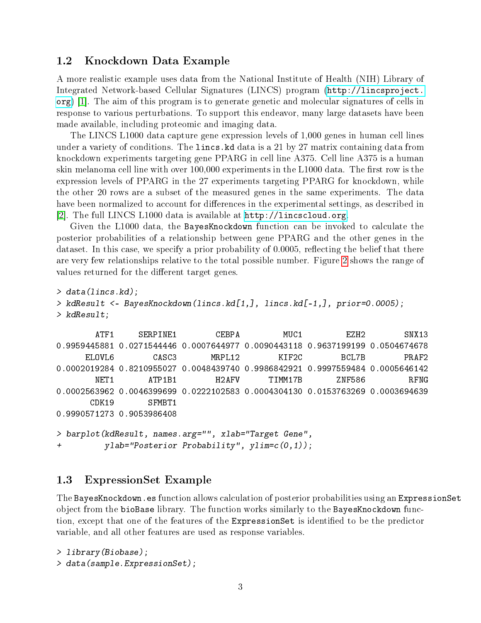### 1.2 Knockdown Data Example

A more realistic example uses data from the National Institute of Health (NIH) Library of Integrated Network-based Cellular Signatures (LINCS) program [\(http://lincsproject.](http://lincsproject.org) [org\)](http://lincsproject.org) [\[1\]](#page-5-2). The aim of this program is to generate genetic and molecular signatures of cells in response to various perturbations. To support this endeavor, many large datasets have been made available, including proteomic and imaging data.

The LINCS L1000 data capture gene expression levels of 1,000 genes in human cell lines under a variety of conditions. The lincs.kd data is a 21 by 27 matrix containing data from knockdown experiments targeting gene PPARG in cell line A375. Cell line A375 is a human skin melanoma cell line with over  $100,000$  experiments in the  $L1000$  data. The first row is the expression levels of PPARG in the 27 experiments targeting PPARG for knockdown, while the other 20 rows are a subset of the measured genes in the same experiments. The data have been normalized to account for differences in the experimental settings, as described in [\[2\]](#page-5-0). The full LINCS L1000 data is available at [http://lincscloud.org.](http://lincscloud.org)

Given the L1000 data, the BayesKnockdown function can be invoked to calculate the posterior probabilities of a relationship between gene PPARG and the other genes in the dataset. In this case, we specify a prior probability of  $0.0005$ , reflecting the belief that there are very few relationships relative to the total possible number. Figure [2](#page-3-0) shows the range of values returned for the different target genes.

```
> data(lincs.kd);
> kdResult <- BayesKnockdown(lincs.kd[1,], lincs.kd[-1,], prior=0.0005);
> kdResult;
```
ATF1 SERPINE1 CEBPA MUC1 EZH2 SNX13 0.9959445881 0.0271544446 0.0007644977 0.0090443118 0.9637199199 0.0504674678 ELOVL6 CASC3 MRPL12 KIF2C BCL7B PRAF2 0.0002019284 0.8210955027 0.0048439740 0.9986842921 0.9997559484 0.0005646142 NET1 ATP1B1 H2AFV TIMM17B ZNF586 RFNG 0.0002563962 0.0046399699 0.0222102583 0.0004304130 0.0153763269 0.0003694639 CDK19 SFMBT1 0.9990571273 0.9053986408 > barplot(kdResult, names.arg="", xlab="Target Gene",

```
+ ylab="Posterior Probability", ylim=c(0,1));
```
### 1.3 ExpressionSet Example

The BayesKnockdown.es function allows calculation of posterior probabilities using an ExpressionSet object from the bioBase library. The function works similarly to the BayesKnockdown function, except that one of the features of the ExpressionSet is identified to be the predictor variable, and all other features are used as response variables.

```
> library(Biobase);
> data(sample.ExpressionSet);
```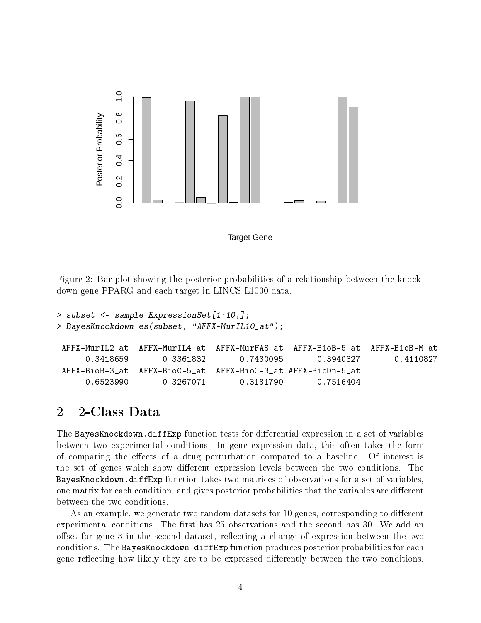

Target Gene

<span id="page-3-0"></span>Figure 2: Bar plot showing the posterior probabilities of a relationship between the knockdown gene PPARG and each target in LINCS L1000 data.

```
> subset <- sample.ExpressionSet[1:10,];
> BayesKnockdown.es(subset, "AFFX-MurIL10_at");
AFFX-MurIL2_at AFFX-MurIL4_at AFFX-MurFAS_at AFFX-BioB-5_at AFFX-BioB-M_at
     0.3418659 0.3361832 0.7430095 0.3940327 0.4110827
AFFX-BioB-3_at AFFX-BioC-5_at AFFX-BioC-3_at AFFX-BioDn-5_at
     0.6523990 0.3267071 0.3181790 0.7516404
```
### 2 2-Class Data

The BayesKnockdown.diffExp function tests for differential expression in a set of variables between two experimental conditions. In gene expression data, this often takes the form of comparing the effects of a drug perturbation compared to a baseline. Of interest is the set of genes which show different expression levels between the two conditions. The BayesKnockdown.diffExp function takes two matrices of observations for a set of variables, one matrix for each condition, and gives posterior probabilities that the variables are different between the two conditions.

As an example, we generate two random datasets for 10 genes, corresponding to different experimental conditions. The first has 25 observations and the second has 30. We add an offset for gene 3 in the second dataset, reflecting a change of expression between the two conditions. The BayesKnockdown.diffExp function produces posterior probabilities for each gene reflecting how likely they are to be expressed differently between the two conditions.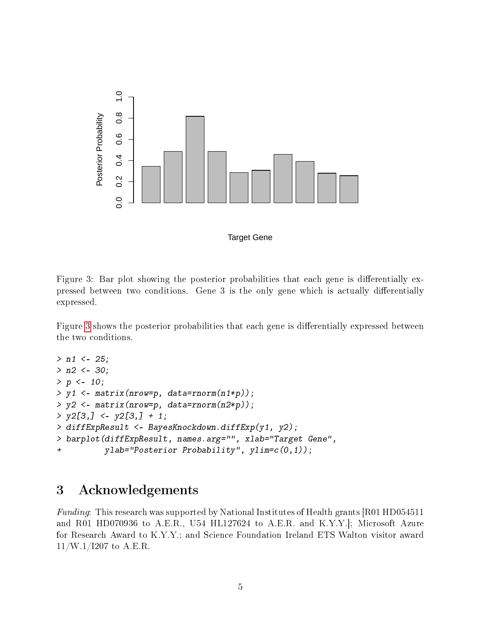

Target Gene

<span id="page-4-0"></span>Figure 3: Bar plot showing the posterior probabilities that each gene is differentially expressed between two conditions. Gene 3 is the only gene which is actually differentially expressed.

Figure [3](#page-4-0) shows the posterior probabilities that each gene is differentially expressed between the two conditions.

```
> n1 <- 25;
> n2 < -30;> p < -10;
> y1 <- matrix(nrow=p, data=rnorm(n1*p));
> y2 \leq -\text{ matrix}(nrow=p, data=rnorm(n2*p));> y2[3, ] \le y2[3, ] + 1;> diffExpResult <- BayesKnockdown.diffExp(y1, y2);
> barplot(diffExpResult, names.arg="", xlab="Target Gene",
+ ylab="Posterior Probability", ylim=c(0,1));
```
# 3 Acknowledgements

Funding: This research was supported by National Institutes of Health grants [R01 HD054511 and R01 HD070936 to A.E.R., U54 HL127624 to A.E.R. and K.Y.Y.]; Microsoft Azure for Research Award to K.Y.Y.; and Science Foundation Ireland ETS Walton visitor award  $11/W.1/1207$  to A.E.R.